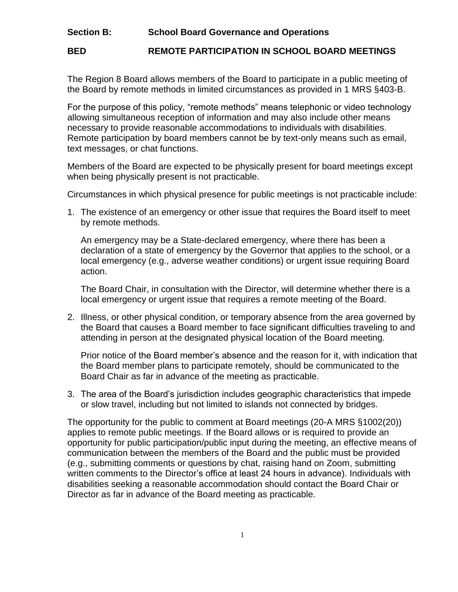## **Section B: School Board Governance and Operations**

## **BED REMOTE PARTICIPATION IN SCHOOL BOARD MEETINGS**

The Region 8 Board allows members of the Board to participate in a public meeting of the Board by remote methods in limited circumstances as provided in 1 MRS §403-B.

For the purpose of this policy, "remote methods" means telephonic or video technology allowing simultaneous reception of information and may also include other means necessary to provide reasonable accommodations to individuals with disabilities. Remote participation by board members cannot be by text-only means such as email, text messages, or chat functions.

Members of the Board are expected to be physically present for board meetings except when being physically present is not practicable.

Circumstances in which physical presence for public meetings is not practicable include:

1. The existence of an emergency or other issue that requires the Board itself to meet by remote methods.

An emergency may be a State-declared emergency, where there has been a declaration of a state of emergency by the Governor that applies to the school, or a local emergency (e.g., adverse weather conditions) or urgent issue requiring Board action.

The Board Chair, in consultation with the Director, will determine whether there is a local emergency or urgent issue that requires a remote meeting of the Board.

2. Illness, or other physical condition, or temporary absence from the area governed by the Board that causes a Board member to face significant difficulties traveling to and attending in person at the designated physical location of the Board meeting.

Prior notice of the Board member's absence and the reason for it, with indication that the Board member plans to participate remotely, should be communicated to the Board Chair as far in advance of the meeting as practicable.

3. The area of the Board's jurisdiction includes geographic characteristics that impede or slow travel, including but not limited to islands not connected by bridges.

The opportunity for the public to comment at Board meetings (20-A MRS §1002(20)) applies to remote public meetings. If the Board allows or is required to provide an opportunity for public participation/public input during the meeting, an effective means of communication between the members of the Board and the public must be provided (e.g., submitting comments or questions by chat, raising hand on Zoom, submitting written comments to the Director's office at least 24 hours in advance). Individuals with disabilities seeking a reasonable accommodation should contact the Board Chair or Director as far in advance of the Board meeting as practicable.